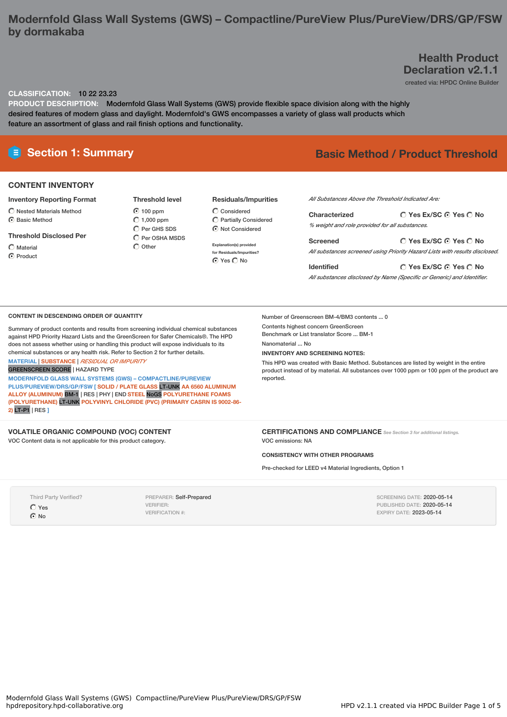# **Modernfold Glass Wall Systems (GWS) – Compactline/PureView Plus/PureView/DRS/GP/FSW by dormakaba**

## **Health Product Declaration v2.1.1**

created via: HPDC Online Builder

#### **CLASSIFICATION:** 10 22 23.23

**PRODUCT DESCRIPTION:** Modernfold Glass Wall Systems (GWS) provide flexible space division along with the highly desired features of modern glass and daylight. Modernfold's GWS encompasses a variety of glass wall products which feature an assortment of glass and rail finish options and functionality.

### **CONTENT INVENTORY**

### **Inventory Reporting Format**

- $\overline{\bigcirc}$  Nested Materials Method
- $\odot$  Basic Method

#### **Threshold Disclosed Per**

 $\bigcap$  Material C Product

**⊙** 100 ppm  $\bigcirc$  1,000 ppm  $\bigcap$  Per GHS SDS

**Threshold level**

- Per OSHA MSDS  $\bigcirc$  Other
	- **Explanation(s) provided for Residuals/Impurities?**

⊙ Yes C No

 $\bigcirc$  Considered Partially Considered  $\odot$  Not Considered

**Residuals/Impurities**

# **Section 1: Summary Basic Method / Product Threshold**

*All Substances Above the Threshold Indicated Are:*

| Characterized                                  | $\bigcirc$ Yes Ex/SC $\bigcirc$ Yes $\bigcirc$ No |  |  |  |  |
|------------------------------------------------|---------------------------------------------------|--|--|--|--|
| % weight and role provided for all substances. |                                                   |  |  |  |  |

**Yes Ex/SC Yes No Screened** *All substances screened using Priority Hazard Lists with results disclosed.*

**Yes Ex/SC Yes No Identified** *All substances disclosed by Name (Specific or Generic) and Identifier.*

#### **CONTENT IN DESCENDING ORDER OF QUANTITY**

Summary of product contents and results from screening individual chemical substances against HPD Priority Hazard Lists and the GreenScreen for Safer Chemicals®. The HPD does not assess whether using or handling this product will expose individuals to its chemical substances or any health risk. Refer to Section 2 for further details.

**MATERIAL** | **SUBSTANCE** | *RESIDUAL OR IMPURITY* GREENSCREEN SCORE | HAZARD TYPE

**MODERNFOLD GLASS WALL SYSTEMS (GWS) – COMPACTLINE/PUREVIEW PLUS/PUREVIEW/DRS/GP/FSW [ SOLID / PLATE GLASS** LT-UNK **AA 6560 ALUMINUM ALLOY (ALUMINUM)** BM-1 | RES | PHY | END **STEEL** NoGS **POLYURETHANE FOAMS (POLYURETHANE)** LT-UNK **POLYVINYL CHLORIDE (PVC) (PRIMARY CASRN IS 9002-86- 2)** LT-P1 | RES **]**

**VOLATILE ORGANIC COMPOUND (VOC) CONTENT** VOC Content data is not applicable for this product category.

Number of Greenscreen BM-4/BM3 contents ... 0 Contents highest concern GreenScreen

Benchmark or List translator Score ... BM-1 Nanomaterial ... No

### **INVENTORY AND SCREENING NOTES:**

This HPD was created with Basic Method. Substances are listed by weight in the entire product instead of by material. All substances over 1000 ppm or 100 ppm of the product are reported.

**CERTIFICATIONS AND COMPLIANCE** *See Section <sup>3</sup> for additional listings.* VOC emissions: NA

**CONSISTENCY WITH OTHER PROGRAMS**

Pre-checked for LEED v4 Material Ingredients, Option 1

Third Party Verified? Yes  $\odot$  No

PREPARER: Self-Prepared VERIFIER: VERIFICATION #:

SCREENING DATE: 2020-05-14 PUBLISHED DATE: 2020-05-14 EXPIRY DATE: 2023-05-14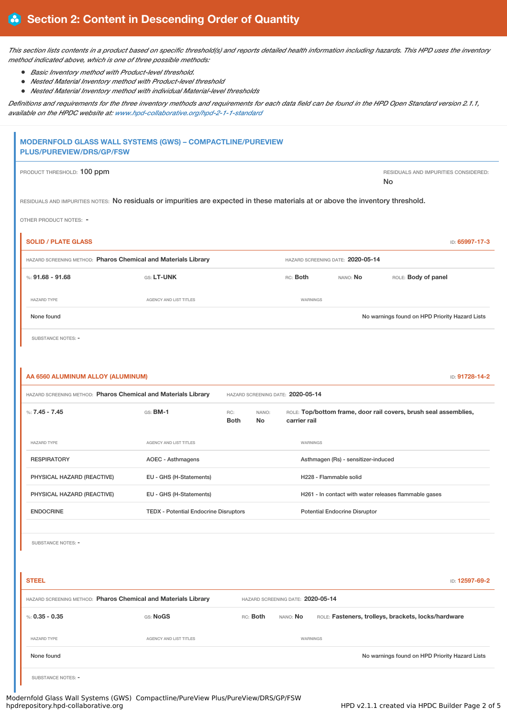This section lists contents in a product based on specific threshold(s) and reports detailed health information including hazards. This HPD uses the inventory *method indicated above, which is one of three possible methods:*

- *Basic Inventory method with Product-level threshold.*
- $\bullet$ *Nested Material Inventory method with Product-level threshold*
- *Nested Material Inventory method with individual Material-level thresholds*

Definitions and requirements for the three inventory methods and requirements for each data field can be found in the HPD Open Standard version 2.1.1, *available on the HPDC website at: [www.hpd-collaborative.org/hpd-2-1-1-standard](https://www.hpd-collaborative.org/hpd-2-1-1-standard)*

| MODERNFOLD GLASS WALL SYSTEMS (GWS) - COMPACTLINE/PUREVIEW<br><b>PLUS/PUREVIEW/DRS/GP/FSW</b>                                   |                                              |                                          |                                   |                                      |                                                                  |  |  |
|---------------------------------------------------------------------------------------------------------------------------------|----------------------------------------------|------------------------------------------|-----------------------------------|--------------------------------------|------------------------------------------------------------------|--|--|
| PRODUCT THRESHOLD: 100 ppm                                                                                                      |                                              |                                          |                                   |                                      | RESIDUALS AND IMPURITIES CONSIDERED:<br>No                       |  |  |
| RESIDUALS AND IMPURITIES NOTES: No residuals or impurities are expected in these materials at or above the inventory threshold. |                                              |                                          |                                   |                                      |                                                                  |  |  |
| OTHER PRODUCT NOTES: -                                                                                                          |                                              |                                          |                                   |                                      |                                                                  |  |  |
| <b>SOLID / PLATE GLASS</b>                                                                                                      |                                              |                                          |                                   |                                      | ID: 65997-17-3                                                   |  |  |
| HAZARD SCREENING METHOD: Pharos Chemical and Materials Library                                                                  |                                              |                                          |                                   | HAZARD SCREENING DATE: 2020-05-14    |                                                                  |  |  |
| %: $91.68 - 91.68$                                                                                                              | GS: LT-UNK                                   |                                          | RC: Both                          | NANO: No                             | ROLE: Body of panel                                              |  |  |
| <b>HAZARD TYPE</b>                                                                                                              | AGENCY AND LIST TITLES                       |                                          | WARNINGS                          |                                      |                                                                  |  |  |
| None found                                                                                                                      |                                              |                                          |                                   |                                      | No warnings found on HPD Priority Hazard Lists                   |  |  |
| SUBSTANCE NOTES: -                                                                                                              |                                              |                                          |                                   |                                      |                                                                  |  |  |
|                                                                                                                                 |                                              |                                          |                                   |                                      |                                                                  |  |  |
| AA 6560 ALUMINUM ALLOY (ALUMINUM)                                                                                               |                                              |                                          |                                   |                                      | ID: 91728-14-2                                                   |  |  |
| HAZARD SCREENING METHOD: Pharos Chemical and Materials Library<br>HAZARD SCREENING DATE: 2020-05-14                             |                                              |                                          |                                   |                                      |                                                                  |  |  |
| %: $7.45 - 7.45$                                                                                                                | $GS:$ BM-1                                   | RC:<br>NANO:<br><b>Both</b><br><b>No</b> | carrier rail                      |                                      | ROLE: Top/bottom frame, door rail covers, brush seal assemblies, |  |  |
| <b>HAZARD TYPE</b>                                                                                                              | AGENCY AND LIST TITLES                       |                                          | <b>WARNINGS</b>                   |                                      |                                                                  |  |  |
| <b>RESPIRATORY</b>                                                                                                              | <b>AOEC - Asthmagens</b>                     |                                          |                                   | Asthmagen (Rs) - sensitizer-induced  |                                                                  |  |  |
| PHYSICAL HAZARD (REACTIVE)                                                                                                      | EU - GHS (H-Statements)                      |                                          |                                   | H228 - Flammable solid               |                                                                  |  |  |
| PHYSICAL HAZARD (REACTIVE)                                                                                                      | EU - GHS (H-Statements)                      |                                          |                                   |                                      | H261 - In contact with water releases flammable gases            |  |  |
| <b>ENDOCRINE</b>                                                                                                                | <b>TEDX - Potential Endocrine Disruptors</b> |                                          |                                   | <b>Potential Endocrine Disruptor</b> |                                                                  |  |  |
| SUBSTANCE NOTES: -<br><b>STEEL</b>                                                                                              |                                              |                                          |                                   |                                      | ID: 12597-69-2                                                   |  |  |
| HAZARD SCREENING METHOD: Pharos Chemical and Materials Library                                                                  |                                              |                                          | HAZARD SCREENING DATE: 2020-05-14 |                                      |                                                                  |  |  |
| %: $0.35 - 0.35$                                                                                                                | GS: NoGS                                     | RC: Both                                 | NANO: No                          |                                      | ROLE: Fasteners, trolleys, brackets, locks/hardware              |  |  |
| <b>HAZARD TYPE</b>                                                                                                              | AGENCY AND LIST TITLES                       |                                          | WARNINGS                          |                                      |                                                                  |  |  |
| None found                                                                                                                      |                                              |                                          |                                   |                                      | No warnings found on HPD Priority Hazard Lists                   |  |  |

SUBSTANCE NOTES: -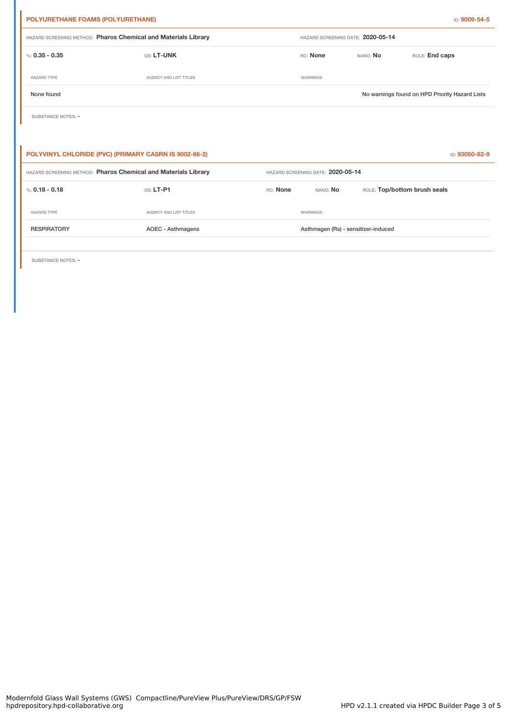| POLYURETHANE FOAMS (POLYURETHANE)<br>ID: 9009-54-5             |                               |                                     |                                   |                              |                                                |  |
|----------------------------------------------------------------|-------------------------------|-------------------------------------|-----------------------------------|------------------------------|------------------------------------------------|--|
| HAZARD SCREENING METHOD: Pharos Chemical and Materials Library |                               |                                     | HAZARD SCREENING DATE: 2020-05-14 |                              |                                                |  |
| %: $0.35 - 0.35$                                               | GS: LT-UNK                    |                                     | RC: None                          | NANO: No                     | ROLE: End caps                                 |  |
| <b>HAZARD TYPE</b>                                             | <b>AGENCY AND LIST TITLES</b> |                                     | WARNINGS                          |                              |                                                |  |
| None found                                                     |                               |                                     |                                   |                              | No warnings found on HPD Priority Hazard Lists |  |
| SUBSTANCE NOTES: -                                             |                               |                                     |                                   |                              |                                                |  |
|                                                                |                               |                                     |                                   |                              |                                                |  |
| POLYVINYL CHLORIDE (PVC) (PRIMARY CASRN IS 9002-86-2)          |                               |                                     |                                   |                              | ID: 93050-82-9                                 |  |
| HAZARD SCREENING METHOD: Pharos Chemical and Materials Library |                               |                                     | HAZARD SCREENING DATE: 2020-05-14 |                              |                                                |  |
| %: $0.18 - 0.18$                                               | GS: LT-P1                     | RC: None                            | NANO: No                          | ROLE: Top/bottom brush seals |                                                |  |
| <b>HAZARD TYPE</b>                                             | <b>AGENCY AND LIST TITLES</b> |                                     | WARNINGS                          |                              |                                                |  |
| <b>RESPIRATORY</b>                                             | AOEC - Asthmagens             | Asthmagen (Rs) - sensitizer-induced |                                   |                              |                                                |  |

SUBSTANCE NOTES: -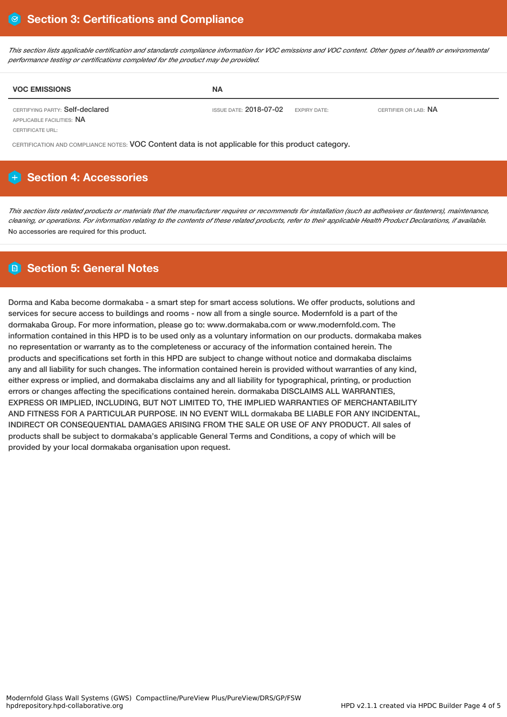This section lists applicable certification and standards compliance information for VOC emissions and VOC content. Other types of health or environmental *performance testing or certifications completed for the product may be provided.*

| <b>VOC EMISSIONS</b>                                         | <b>NA</b>                     |                     |                             |
|--------------------------------------------------------------|-------------------------------|---------------------|-----------------------------|
| CERTIFYING PARTY: Self-declared<br>APPLICABLE FACILITIES: NA | ISSUE DATE: <b>2018-07-02</b> | <b>EXPIRY DATE:</b> | CERTIFIER OR LAB: <b>NA</b> |

CERTIFICATE URL:

CERTIFICATION AND COMPLIANCE NOTES: VOC Content data is not applicable for this product category.

# **Section 4: Accessories**

This section lists related products or materials that the manufacturer requires or recommends for installation (such as adhesives or fasteners), maintenance, cleaning, or operations. For information relating to the contents of these related products, refer to their applicable Health Product Declarations, if available. No accessories are required for this product.

# **Section 5: General Notes**

Dorma and Kaba become dormakaba - a smart step for smart access solutions. We offer products, solutions and services for secure access to buildings and rooms - now all from a single source. Modernfold is a part of the dormakaba Group. For more information, please go to: www.dormakaba.com or www.modernfold.com. The information contained in this HPD is to be used only as a voluntary information on our products. dormakaba makes no representation or warranty as to the completeness or accuracy of the information contained herein. The products and specifications set forth in this HPD are subject to change without notice and dormakaba disclaims any and all liability for such changes. The information contained herein is provided without warranties of any kind, either express or implied, and dormakaba disclaims any and all liability for typographical, printing, or production errors or changes affecting the specifications contained herein. dormakaba DISCLAIMS ALL WARRANTIES, EXPRESS OR IMPLIED, INCLUDING, BUT NOT LIMITED TO, THE IMPLIED WARRANTIES OF MERCHANTABILITY AND FITNESS FOR A PARTICULAR PURPOSE. IN NO EVENT WILL dormakaba BE LIABLE FOR ANY INCIDENTAL, INDIRECT OR CONSEQUENTIAL DAMAGES ARISING FROM THE SALE OR USE OF ANY PRODUCT. All sales of products shall be subject to dormakaba's applicable General Terms and Conditions, a copy of which will be provided by your local dormakaba organisation upon request.